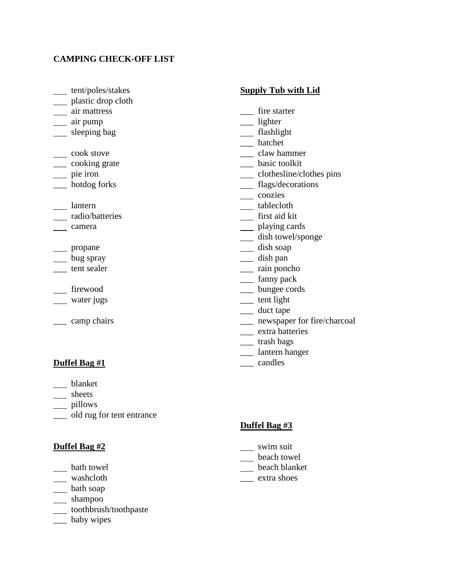## **CAMPING CHECK-OFF LIST**

- tent/poles/stakes
- \_\_ plastic drop cloth
- <u>a</u> air mattress
- air pump
- \_\_ sleeping bag
- \_\_ cook stove
- \_\_\_ cooking grate
- pie iron
- \_\_\_ hotdog forks
- lantern
- radio/batteries
- camera
- \_\_\_\_ propane
- \_\_ bug spray
- \_\_\_ tent sealer
- firewood
- water jugs
- \_\_\_ camp chairs

# **Duffel Bag #1**

- blanket
- \_\_ sheets
- \_\_ pillows
- \_\_\_ old rug for tent entrance

#### **Duffel Bag #2**

- \_\_ bath towel
- washcloth
- bath soap
- \_\_ shampoo
- toothbrush/toothpaste
- \_\_\_ baby wipes

#### **Supply Tub with Lid**

- fire starter
- \_\_\_ lighter
- \_\_ flashlight
- \_\_\_ hatchet
- \_\_\_ claw hammer
- \_\_\_ basic toolkit
- clothesline/clothes pins
- flags/decorations
- \_\_ coozies
- \_\_ tablecloth
- first aid kit
- \_\_ playing cards
- \_\_ dish towel/sponge
- dish soap
- \_\_\_ dish pan
- \_\_\_ rain poncho
- \_\_\_ fanny pack
- \_\_\_ bungee cords
- \_\_\_ tent light
- \_\_\_ duct tape
- \_\_\_ newspaper for fire/charcoal
- \_\_\_ extra batteries
- \_\_\_ trash bags
- \_\_\_ lantern hanger
- \_\_\_ candles

### **Duffel Bag #3**

- swim suit
- \_\_ beach towel
- beach blanket
- \_\_\_ extra shoes